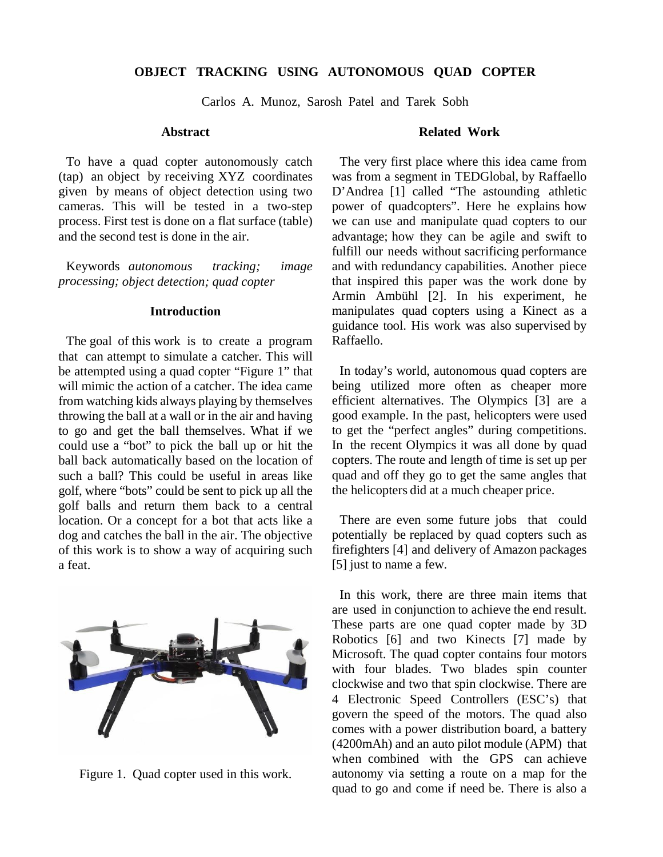# **OBJECT TRACKING USING AUTONOMOUS QUAD COPTER**

Carlos A. Munoz, Sarosh Patel and Tarek Sobh

#### **Abstract**

To have a quad copter autonomously catch (tap) an object by receiving XYZ coordinates given by means of object detection using two cameras. This will be tested in a two-step process. First test is done on a flat surface (table) and the second test is done in the air.

Keywords *autonomous tracking; image processing; object detection; quad copter* 

#### **Introduction**

The goal of this work is to create a program that can attempt to simulate a catcher. This will be attempted using a quad copter "Figure 1" that will mimic the action of a catcher. The idea came from watching kids always playing by themselves throwing the ball at a wall or in the air and having to go and get the ball themselves. What if we could use a "bot" to pick the ball up or hit the ball back automatically based on the location of such a ball? This could be useful in areas like golf, where "bots" could be sent to pick up all the golf balls and return them back to a central location. Or a concept for a bot that acts like a dog and catches the ball in the air. The objective of this work is to show a way of acquiring such a feat.



Figure 1. Quad copter used in this work.

### **Related Work**

The very first place where this idea came from was from a segment in TEDGlobal, by Raffaello D'Andrea [1] called "The astounding athletic power of quadcopters". Here he explains how we can use and manipulate quad copters to our advantage; how they can be agile and swift to fulfill our needs without sacrificing performance and with redundancy capabilities. Another piece that inspired this paper was the work done by Armin Ambühl [2]. In his experiment, he manipulates quad copters using a Kinect as a guidance tool. His work was also supervised by Raffaello.

In today's world, autonomous quad copters are being utilized more often as cheaper more efficient alternatives. The Olympics [3] are a good example. In the past, helicopters were used to get the "perfect angles" during competitions. In the recent Olympics it was all done by quad copters. The route and length of time is set up per quad and off they go to get the same angles that the helicopters did at a much cheaper price.

There are even some future jobs that could potentially be replaced by quad copters such as firefighters [4] and delivery of Amazon packages [5] just to name a few.

In this work, there are three main items that are used in conjunction to achieve the end result. These parts are one quad copter made by 3D Robotics [6] and two Kinects [7] made by Microsoft. The quad copter contains four motors with four blades. Two blades spin counter clockwise and two that spin clockwise. There are 4 Electronic Speed Controllers (ESC's) that govern the speed of the motors. The quad also comes with a power distribution board, a battery (4200mAh) and an auto pilot module (APM) that when combined with the GPS can achieve autonomy via setting a route on a map for the quad to go and come if need be. There is also a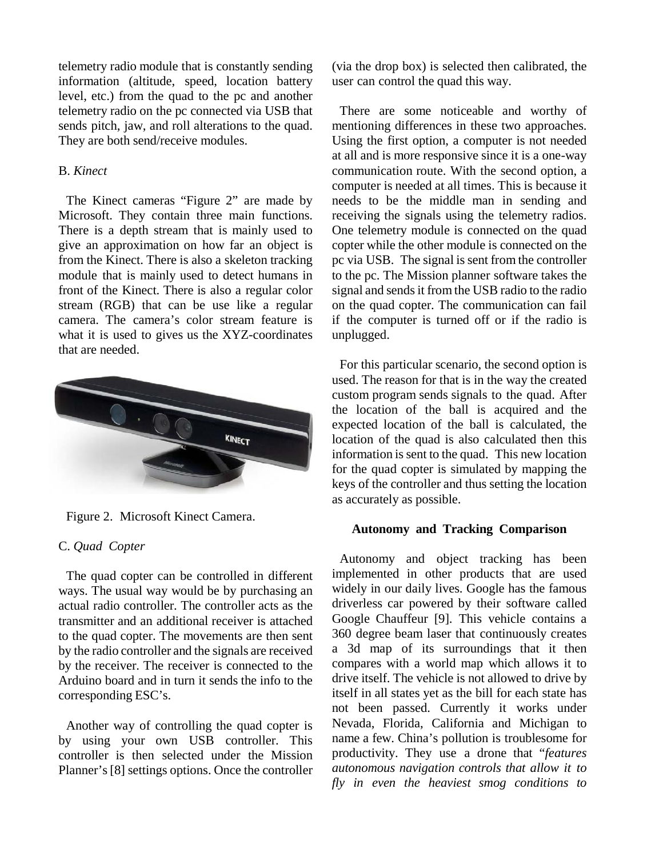telemetry radio module that is constantly sending information (altitude, speed, location battery level, etc.) from the quad to the pc and another telemetry radio on the pc connected via USB that sends pitch, jaw, and roll alterations to the quad. They are both send/receive modules.

## B. *Kinect*

The Kinect cameras "Figure 2" are made by Microsoft. They contain three main functions. There is a depth stream that is mainly used to give an approximation on how far an object is from the Kinect. There is also a skeleton tracking module that is mainly used to detect humans in front of the Kinect. There is also a regular color stream (RGB) that can be use like a regular camera. The camera's color stream feature is what it is used to gives us the XYZ-coordinates that are needed.



Figure 2. Microsoft Kinect Camera.

## C. *Quad Copter*

The quad copter can be controlled in different ways. The usual way would be by purchasing an actual radio controller. The controller acts as the transmitter and an additional receiver is attached to the quad copter. The movements are then sent by the radio controller and the signals are received by the receiver. The receiver is connected to the Arduino board and in turn it sends the info to the corresponding ESC's.

Another way of controlling the quad copter is by using your own USB controller. This controller is then selected under the Mission Planner's [8] settings options. Once the controller (via the drop box) is selected then calibrated, the user can control the quad this way.

There are some noticeable and worthy of mentioning differences in these two approaches. Using the first option, a computer is not needed at all and is more responsive since it is a one-way communication route. With the second option, a computer is needed at all times. This is because it needs to be the middle man in sending and receiving the signals using the telemetry radios. One telemetry module is connected on the quad copter while the other module is connected on the pc via USB. The signal is sent from the controller to the pc. The Mission planner software takes the signal and sends it from the USB radio to the radio on the quad copter. The communication can fail if the computer is turned off or if the radio is unplugged.

For this particular scenario, the second option is used. The reason for that is in the way the created custom program sends signals to the quad. After the location of the ball is acquired and the expected location of the ball is calculated, the location of the quad is also calculated then this information is sent to the quad. This new location for the quad copter is simulated by mapping the keys of the controller and thus setting the location as accurately as possible.

#### **Autonomy and Tracking Comparison**

Autonomy and object tracking has been implemented in other products that are used widely in our daily lives. Google has the famous driverless car powered by their software called Google Chauffeur [9]. This vehicle contains a 360 degree beam laser that continuously creates a 3d map of its surroundings that it then compares with a world map which allows it to drive itself. The vehicle is not allowed to drive by itself in all states yet as the bill for each state has not been passed. Currently it works under Nevada, Florida, California and Michigan to name a few. China's pollution is troublesome for productivity. They use a drone that "*features autonomous navigation controls that allow it to fly in even the heaviest smog conditions to*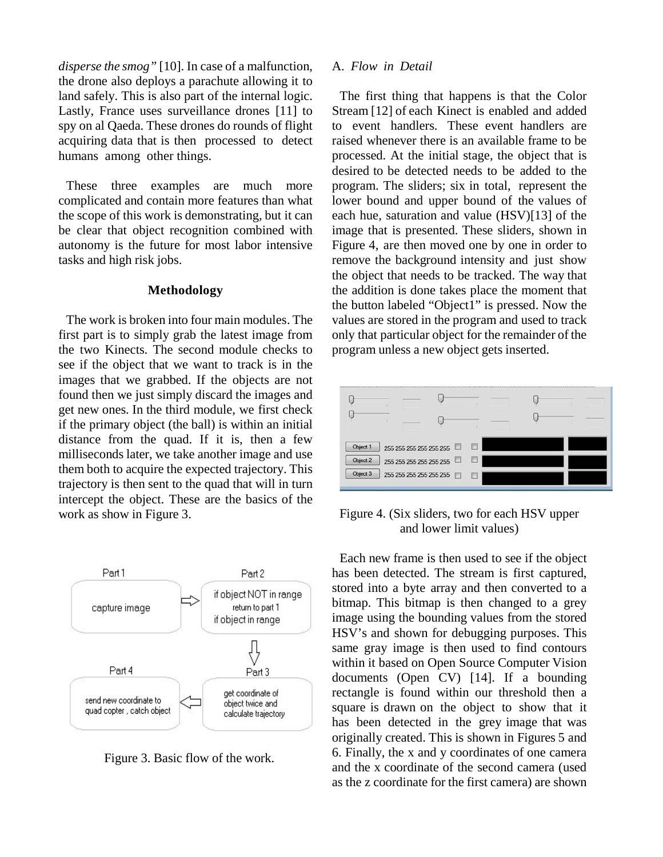*disperse the smog"* [10]. In case of a malfunction, the drone also deploys a parachute allowing it to land safely. This is also part of the internal logic. Lastly, France uses surveillance drones [11] to spy on al Qaeda. These drones do rounds of flight acquiring data that is then processed to detect humans among other things.

These three examples are much more complicated and contain more features than what the scope of this work is demonstrating, but it can be clear that object recognition combined with autonomy is the future for most labor intensive tasks and high risk jobs.

#### **Methodology**

The work is broken into four main modules. The first part is to simply grab the latest image from the two Kinects. The second module checks to see if the object that we want to track is in the images that we grabbed. If the objects are not found then we just simply discard the images and get new ones. In the third module, we first check if the primary object (the ball) is within an initial distance from the quad. If it is, then a few milliseconds later, we take another image and use them both to acquire the expected trajectory. This trajectory is then sent to the quad that will in turn intercept the object. These are the basics of the work as show in Figure 3.



Figure 3. Basic flow of the work.

#### A. *Flow in Detail*

The first thing that happens is that the Color Stream [12] of each Kinect is enabled and added to event handlers. These event handlers are raised whenever there is an available frame to be processed. At the initial stage, the object that is desired to be detected needs to be added to the program. The sliders; six in total, represent the lower bound and upper bound of the values of each hue, saturation and value (HSV)[13] of the image that is presented. These sliders, shown in Figure 4, are then moved one by one in order to remove the background intensity and just show the object that needs to be tracked. The way that the addition is done takes place the moment that the button labeled "Object1" is pressed. Now the values are stored in the program and used to track only that particular object for the remainder of the program unless a new object gets inserted.



Figure 4. (Six sliders, two for each HSV upper and lower limit values)

Each new frame is then used to see if the object has been detected. The stream is first captured, stored into a byte array and then converted to a bitmap. This bitmap is then changed to a grey image using the bounding values from the stored HSV's and shown for debugging purposes. This same gray image is then used to find contours within it based on Open Source Computer Vision documents (Open CV) [14]. If a bounding rectangle is found within our threshold then a square is drawn on the object to show that it has been detected in the grey image that was originally created. This is shown in Figures 5 and 6. Finally, the x and y coordinates of one camera and the x coordinate of the second camera (used as the z coordinate for the first camera) are shown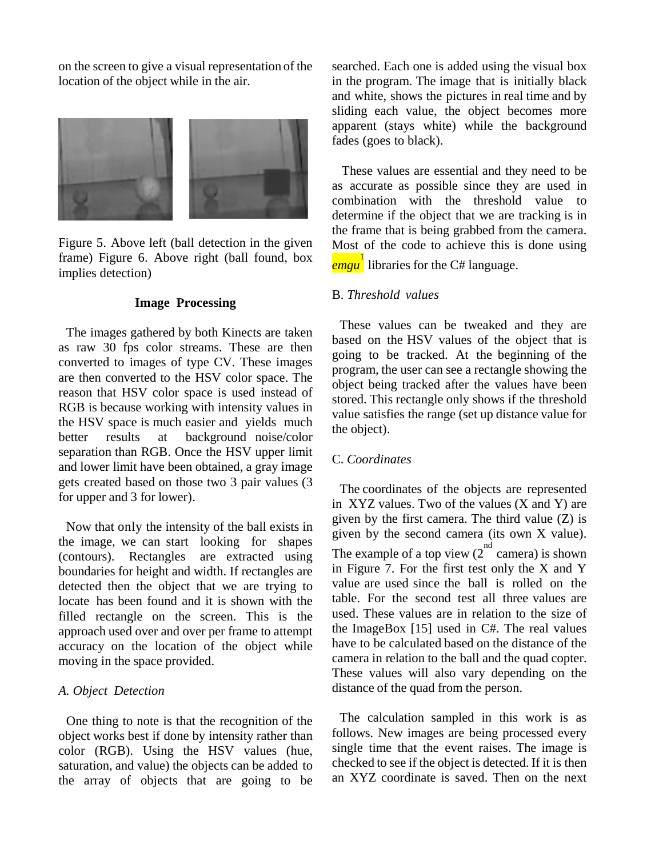on the screen to give a visual representation of the location of the object while in the air.



Figure 5. Above left (ball detection in the given frame) Figure 6. Above right (ball found, box implies detection)

### **Image Processing**

The images gathered by both Kinects are taken as raw 30 fps color streams. These are then converted to images of type CV. These images are then converted to the HSV color space. The reason that HSV color space is used instead of RGB is because working with intensity values in the HSV space is much easier and yields much better results at background noise/color separation than RGB. Once the HSV upper limit and lower limit have been obtained, a gray image gets created based on those two 3 pair values (3 for upper and 3 for lower).

Now that only the intensity of the ball exists in the image, we can start looking for shapes (contours). Rectangles are extracted using boundaries for height and width. If rectangles are detected then the object that we are trying to locate has been found and it is shown with the filled rectangle on the screen. This is the approach used over and over per frame to attempt accuracy on the location of the object while moving in the space provided.

#### *A. Object Detection*

One thing to note is that the recognition of the object works best if done by intensity rather than color (RGB). Using the HSV values (hue, saturation, and value) the objects can be added to the array of objects that are going to be

searched. Each one is added using the visual box in the program. The image that is initially black and white, shows the pictures in real time and by sliding each value, the object becomes more apparent (stays white) while the background fades (goes to black).

These values are essential and they need to be as accurate as possible since they are used in combination with the threshold value to determine if the object that we are tracking is in the frame that is being grabbed from the camera. Most of the code to achieve this is done using *emgu* 1 libraries for the C# language.

### B. *Threshold values*

These values can be tweaked and they are based on the HSV values of the object that is going to be tracked. At the beginning of the program, the user can see a rectangle showing the object being tracked after the values have been stored. This rectangle only shows if the threshold value satisfies the range (set up distance value for the object).

## C. *Coordinates*

The coordinates of the objects are represented in XYZ values. Two of the values (X and Y) are given by the first camera. The third value (Z) is given by the second camera (its own X value). The example of a top view  $(2^{nd}$  camera) is shown in Figure 7. For the first test only the X and Y value are used since the ball is rolled on the table. For the second test all three values are used. These values are in relation to the size of the ImageBox [15] used in C#. The real values have to be calculated based on the distance of the camera in relation to the ball and the quad copter. These values will also vary depending on the distance of the quad from the person.

The calculation sampled in this work is as follows. New images are being processed every single time that the event raises. The image is checked to see if the object is detected. If it is then an XYZ coordinate is saved. Then on the next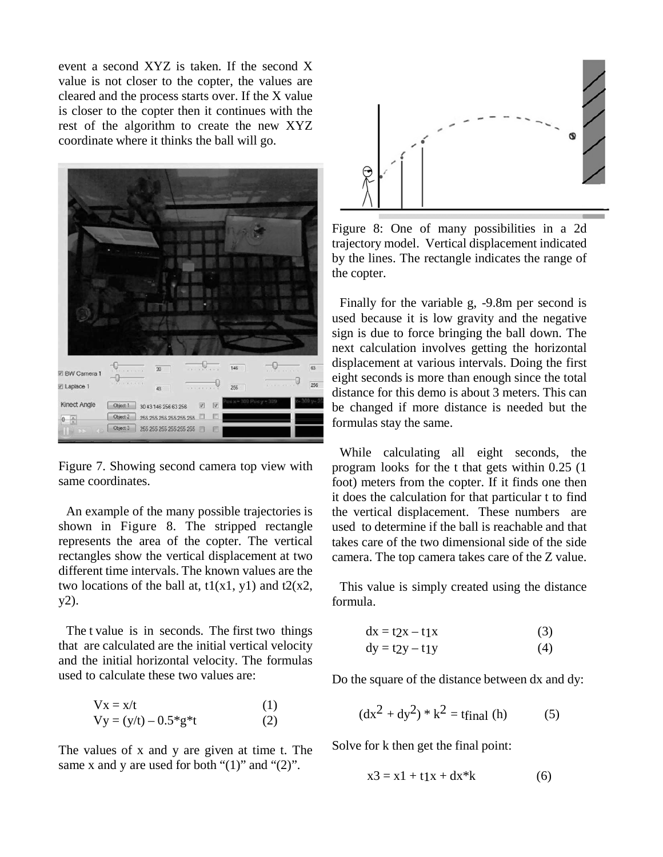event a second XYZ is taken. If the second X value is not closer to the copter, the values are cleared and the process starts over. If the X value is closer to the copter then it continues with the rest of the algorithm to create the new XYZ coordinate where it thinks the ball will go.



Figure 7. Showing second camera top view with same coordinates.

An example of the many possible trajectories is shown in Figure 8. The stripped rectangle represents the area of the copter. The vertical rectangles show the vertical displacement at two different time intervals. The known values are the two locations of the ball at,  $t1(x1, y1)$  and  $t2(x2, y2)$ y2).

The t value is in seconds. The first two things that are calculated are the initial vertical velocity and the initial horizontal velocity. The formulas used to calculate these two values are:

$$
Vx = x/t
$$
 (1)  
\n
$$
Vy = (y/t) - 0.5 * g * t
$$
 (2)

The values of x and y are given at time t. The same x and y are used for both " $(1)$ " and " $(2)$ ".



Figure 8: One of many possibilities in a 2d trajectory model. Vertical displacement indicated by the lines. The rectangle indicates the range of the copter.

Finally for the variable g, -9.8m per second is used because it is low gravity and the negative sign is due to force bringing the ball down. The next calculation involves getting the horizontal displacement at various intervals. Doing the first eight seconds is more than enough since the total distance for this demo is about 3 meters. This can be changed if more distance is needed but the formulas stay the same.

While calculating all eight seconds, the program looks for the t that gets within 0.25 (1 foot) meters from the copter. If it finds one then it does the calculation for that particular t to find the vertical displacement. These numbers are used to determine if the ball is reachable and that takes care of the two dimensional side of the side camera. The top camera takes care of the Z value.

This value is simply created using the distance formula.

$$
dx = t2x - t1x \tag{3}
$$

$$
dy = t2y - t1y \tag{4}
$$

Do the square of the distance between dx and dy:

$$
(dx2 + dy2) * k2 = \text{tfinal (h)}
$$
 (5)

Solve for k then get the final point:

$$
x3 = x1 + t1x + dx^*k
$$
 (6)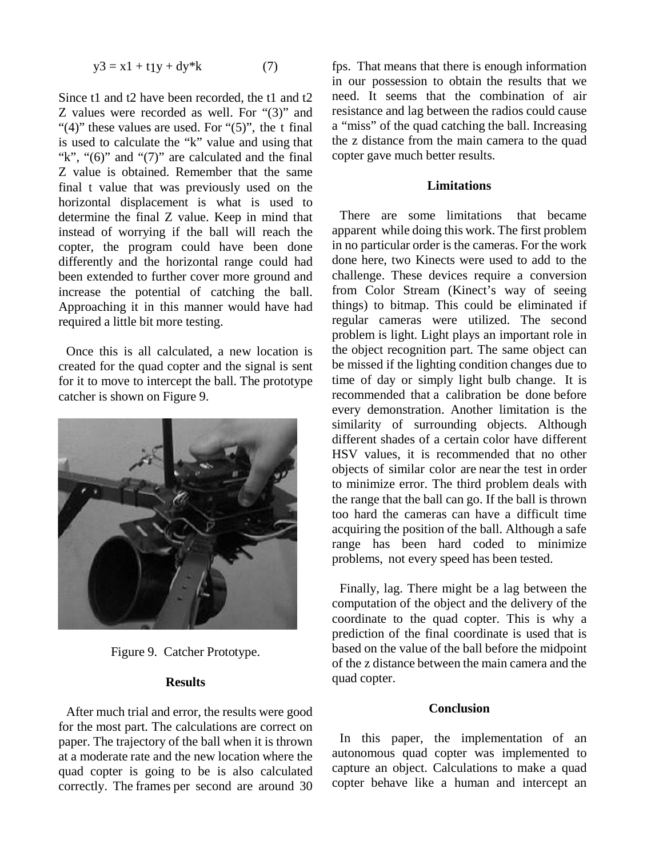$$
y3 = x1 + t1y + dy^*k \tag{7}
$$

Since t1 and t2 have been recorded, the t1 and t2 Z values were recorded as well. For "(3)" and "(4)" these values are used. For " $(5)$ ", the t final is used to calculate the "k" value and using that "k", " $(6)$ " and " $(7)$ " are calculated and the final Z value is obtained. Remember that the same final t value that was previously used on the horizontal displacement is what is used to determine the final Z value. Keep in mind that instead of worrying if the ball will reach the copter, the program could have been done differently and the horizontal range could had been extended to further cover more ground and increase the potential of catching the ball. Approaching it in this manner would have had required a little bit more testing.

Once this is all calculated, a new location is created for the quad copter and the signal is sent for it to move to intercept the ball. The prototype catcher is shown on Figure 9.



Figure 9. Catcher Prototype.

#### **Results**

After much trial and error, the results were good for the most part. The calculations are correct on paper. The trajectory of the ball when it is thrown at a moderate rate and the new location where the quad copter is going to be is also calculated correctly. The frames per second are around 30 fps. That means that there is enough information in our possession to obtain the results that we need. It seems that the combination of air resistance and lag between the radios could cause a "miss" of the quad catching the ball. Increasing the z distance from the main camera to the quad copter gave much better results.

## **Limitations**

There are some limitations that became apparent while doing this work. The first problem in no particular order is the cameras. For the work done here, two Kinects were used to add to the challenge. These devices require a conversion from Color Stream (Kinect's way of seeing things) to bitmap. This could be eliminated if regular cameras were utilized. The second problem is light. Light plays an important role in the object recognition part. The same object can be missed if the lighting condition changes due to time of day or simply light bulb change. It is recommended that a calibration be done before every demonstration. Another limitation is the similarity of surrounding objects. Although different shades of a certain color have different HSV values, it is recommended that no other objects of similar color are near the test in order to minimize error. The third problem deals with the range that the ball can go. If the ball is thrown too hard the cameras can have a difficult time acquiring the position of the ball. Although a safe range has been hard coded to minimize problems, not every speed has been tested.

Finally, lag. There might be a lag between the computation of the object and the delivery of the coordinate to the quad copter. This is why a prediction of the final coordinate is used that is based on the value of the ball before the midpoint of the z distance between the main camera and the quad copter.

### **Conclusion**

In this paper, the implementation of an autonomous quad copter was implemented to capture an object. Calculations to make a quad copter behave like a human and intercept an